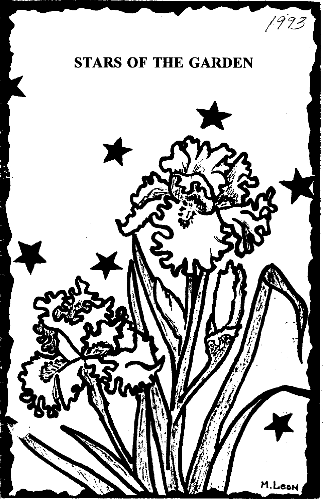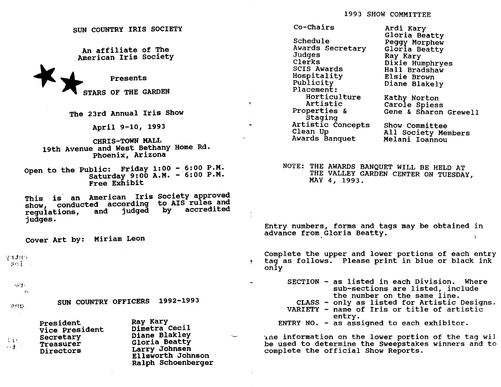SUN COUNTRY IRIS SOCIETY

An affiliate of The American Iris society An affiliate of<br>American Iris So<br>Presents<br>STARS OF THE GA

STARS OF THE GARDEN

The 23rd Annual Iris Show

April 9-10, 1993

CHRIS-TOWN MALL 19th Avenue and West Bethany Home Rd. Phoenix, Arizona

Open to the Public: Friday 1:00 - 6:00 P.M. Saturday 9:00 A.M. - 6:00 P.M. Free Exhibit

This is an American Iris society approved This is an American IIIs Society approved<br>show, conducted according to AIS rules and regulations, judges. and judged by accredited

Cover Art by: Miriam Leon

 $Y$  if it is  $\mathcal{D}(\mathcal{D})$  is a set of the contract of the contract of the contract of the contract of the contract of the contract of the contract of the contract of the contract of the contract of the contract of the contract of th

 $\oplus$   $\mathbf{I}$ .

*c.*   $211p$ 

- 92

tis とき SUN COUNTRY OFFICERS 1992-1993

| President<br>Vice President<br>Secretary<br>Treasurer<br>Directors | Ray Kary<br>Dimetra Cecil<br>Diane Blakley<br>Gloria Beatty<br>Larry Johnsen<br>Ellsworth Johnson<br>Ralph Schoenberger |
|--------------------------------------------------------------------|-------------------------------------------------------------------------------------------------------------------------|
|--------------------------------------------------------------------|-------------------------------------------------------------------------------------------------------------------------|

Co-Chairs Schedule Awards Secretary Judges Clerks SCIS Awards Hospitality Publicity Placement: Horticulture Artistic Properties & **Staging** Artistic concepts Clean Up Awards Banquet All Society Members Melani Ioannou

 $\bullet$ 

Ardi Kary Gloria Beatty Peggy Morphew Gloria Beatty Ray Kary Dixie Humphryes Hall Bradshaw Elsie Brown Diane Blakely Kathy Norton Carole Spiess Gene & Sharon Grewell Show Committee

NOTE: THE AWARDS BANQUET WILL BE HELD AT THE VALLEY GARDEN CENTER ON TUESDAY,<br>MAY 4, 1993.

Entry numbers, forms and tags may be obtained in advance from Gloria Beatty. G.

Complete the upper and lower portions of each entry tag as follows. Please print in blue or black ink only

SECTION - as listed in each Division. Where sub-sections are listed, include the number on the same line. CLASS - only as listed for Artistic Designs. VARIETY - name of Iris or title of artistic entry.

ENTRY NO. - as assigned to each exhibitor.

Ine information on the lower portion of the tag wil be used to determine the Sweepstakes winners and to complete the official Show Reports.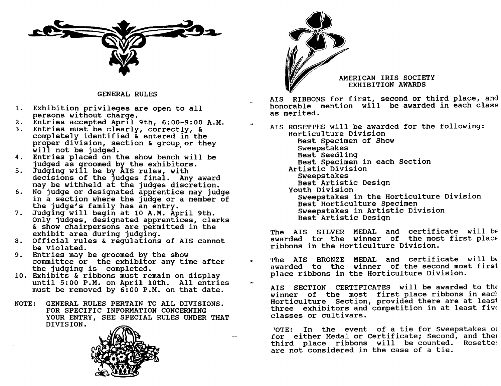

GENERAL RULES

- 1. Exhibition privileges are open to all persons without charge.
- 2. Entries accepted Aprl1 9th, 6:00-9:00 A.M.
- 3. Entries must be clearly, correctly, & proper division, section & group or they<br>will not be judged.<br>4. Entries placed on the show bench will be completely identified  $\bar{k}$  entered in the proper division, section  $\bar{k}$  group or they
- judged as groomed by the exhibitors.
- 5. Judging will be by AIS rules, with declsions of the Judges final. Any award may be withheld at the judges discretion.
- 6. No judge or designated apprentice may judge in a section where the judge or a member of the judge's family has an entry.
- 7. Judging will begin at 10 A.M. April 9th. Only judges, designated apprentlces, clerks & show chairpersons are permitted in the exhibit area during judging.
- 8. Official rules & regulations of AIS cannot be violated.
- 9. Entries may be groomed by the show committee or the exhibitor any time after the judging is completed.
- 10. Exhibits & ribbons must remain on display until 5:00 P.M. on April 10th. All entries must be removed by 6:00 P.M. on that date.
- NOTE: GENERAL RULES PERTAIN TO ALL DIVISIONS. FOR SPECIFIC INFORMATION CONCERNING YOUR ENTRY, SEE SPECIAL RULES UNDER THAT DIVISION.





AMERICAN IRIS SOCIETY EXHIBITION AWARDS

AIS RIBBONS for first, second or third place, and honorable mention will be awarded in each class as merited.

AIS ROSETTES will be awarded for the following: Horticulture Division Best Specimen of Show sweepstakes Best Seedling Best specimen in each section Artistic Division Sweepstakes Best Artistic Design youth Division Sweepstakes in the Horticulture Division Best Horticulture Specimen Sweepstakes in Artistic Division Best Artistic Design

The AIS SILVER MEDAL and certificate will be awarded to the winner of the most first place ribbons in the Horticulture Division.

- The AIS BRONZE MEDAL and certificate will be awarded to the winner of the second most first place ribbons in the Horticulture Division.
	- AIS SECTION CERTIFICATES will be awarded to the winner of the most first place ribbons in each Horticulture section, provided there are at least three exhibitors and competition in at least five classes or cultivars.

TOTE: In the event of a tie for Sweepstakes of for either Medal or Certificate; Second, and the) third place ribbons will be counted. Rosettes are not considered in the case of a tie.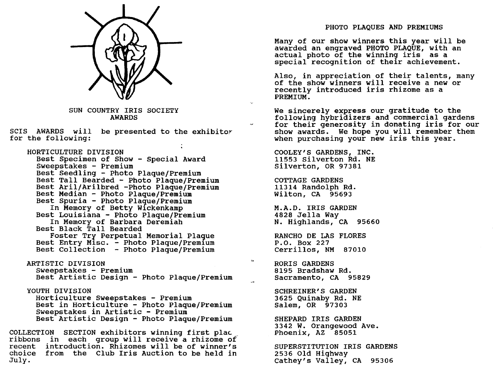

SUN COUNTRY IRIS SOCIETY AWARDS

SCIS AWARDS will be presented to the exhibitor for the following:

HORTICULTURE DIVISION Best Specimen of Show - Special Award Sweepstakes - Premium Best Seedling - Photo Plaque/Premium Best Tall Bearded - Photo Plaque/Premium Best Aril/Arilbred -Photo Plaque/Premium Best Median - Photo Plaque/Premium Best Spuria - Photo Plaque/Premium In Memory of Betty W1ckenkamp Best Louisiana - Photo Plaque/Premium In Memory of Barbara Deremiah Best Black Tall Bearded Foster Try Perpetual Memorial Plaque Best Entry Misc. - Photo Plaque/Premium Best Collection - Photo Plaque/Premium ARTISTIC DIVISION Sweepstakes - Premium Best Artistic Design - Photo Plaque/Premium YOUTH DIVISION Horticulture Sweepstakes - Premium Best in Horticulture - Photo Plaque/Premium sweepstakes in Artistic - Premium

Best Artistic Design - Photo Plaque/Premium

COLLECTION SECTION exhibitors winning first plac ribbons in each group will receive a rhizome of recent introduction. Rhizomes will be of winner's choice from the Club Iris Auction to be held in July.

# PHOTO PLAQUES AND PREMIUMS

Many of our show winners this year will be awarded an engraved PHOTO PLAQUE, with an actual photo of the winning iris as a special recognition of their achievement.

Also, in appreciation of their talents, many of the show winners will receive a new or recently introduced iris rhizome as a PREMIUM.

We sincerely express our gratitude to the following hybridizers and commercial gardens for their generosity in donating iris for our show awards. We hope you will remember them when purchasing your new iris this year.

COOLEY'S GARDENS, INC. 11553 Silverton Rd. NE Silverton, OR 97381

COTTAGE GARDENS 11314 Randolph Rd. Wilton, CA 95693

M.A.D. IRIS GARDEN 4828 Jella Way N. Highlands, CA 95660

RANCHO DE LAS FLORES P.O. Box 227 Cerrillos, NM 87010

RORIS GARDENS 8195 Bradshaw Rd. Sacramento, CA 95829

 $\ddot{\phantom{a}}$ 

SCHREINER'S GARDEN 3625 Quinaby Rd. NE Salem, OR 97303

SHEPARD IRIS GARDEN 3342 W. Orangewood Ave. Phoenix, AZ 85051

SUPERSTITUTION IRIS GARDENS 2536 Old Highway Cathey's Valley, CA 95306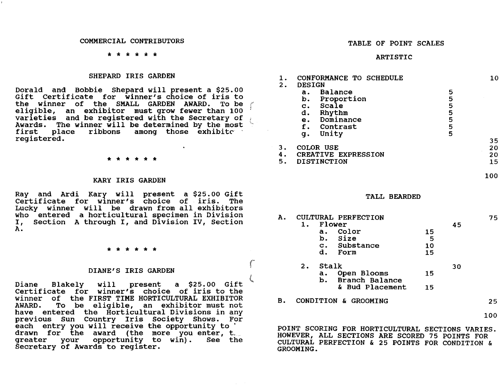### COMMERCIAL CONTRIBUTORS

### \* \* \* \* \* \*

# SHEPARD IRIS GARDEN

Dorald and Bobbie Shepard will present a \$25.00 Gift Certificate for winner's choice of iris to the winner of the SMALL GARDEN AWARD. To be eligible, an exhibitor must grow fewer than 100 varieties and be registered with the Secretary of Awards. The winner will be determined by the most first place ribbons among those exhibite megistered.

J I "

r

 $\zeta$ 

### \* \* \* \* \* \*

### KARY IRIS GARDEN

Ray and Ardi Kary will present a \$25.00 Gift Certificate for W1nner's choice of iris. The Lucky winner will be drawn from all exhibitors who entered a horticultural specimen in Division I, section A through I, and Division IV, Section A.

### \* \* \* \* \* \*

# DIANE'S IRIS GARDEN

Diane Blakely will present a \$25.00 Gift Certificate for winner's choice of iris to the winner of the FIRST TIME HORTICULTURAL EXHIBITOR<br>AWARD. To be eligible, an exhibitor must not To be eligible, an exhibitor must not have entered the Horticultural Divisions in any previous Sun Country Iris Society Shows. For<br>each entry you will receive the opportunity to ' drawn for the award (the more you enter, t.<br>greater your opportunity to win). See the opportunity to win). See the Secretary of Awards to register.

### TABLE OF POINT SCALES

### ARTISTIC

| 1.<br>2.       | CONFORMANCE TO SCHEDULE<br><b>DESIGN</b>                                                                                         |                                 | 10                   |
|----------------|----------------------------------------------------------------------------------------------------------------------------------|---------------------------------|----------------------|
|                | Balance<br>a.<br>Proportion<br>b.<br>Scale<br>$\mathbf{c}$ .<br>d.<br>Rhythm<br>Dominance<br>е.<br>f.<br>Contrast<br>Unity<br>g. | 5<br>5<br>5<br>5<br>5<br>5<br>5 |                      |
| З.<br>4.<br>5. | COLOR USE<br><b>CREATIVE EXPRESSION</b><br><b>DISTINCTION</b>                                                                    |                                 | 35<br>20<br>20<br>15 |

### TALL BEARDED

| Α. |                         |          | CULTURAL PERFECTION                  |    |    | 75  |
|----|-------------------------|----------|--------------------------------------|----|----|-----|
|    | 1.                      |          | Flower                               |    | 45 |     |
|    |                         | $a$ .    | Color                                | 15 |    |     |
|    |                         |          | b. Size                              | 5  |    |     |
|    |                         |          | c. Substance                         | 10 |    |     |
|    |                         | d.       | Form                                 | 15 |    |     |
|    | Stalk<br>$\mathbf{2}$ . |          |                                      |    | 30 |     |
|    |                         | а.<br>b. | Open Blooms<br><b>Branch Balance</b> | 15 |    |     |
|    |                         |          | & Bud Placement                      | 15 |    |     |
| В. |                         |          | CONDITION & GROOMING                 |    |    | 25. |
|    |                         |          |                                      |    |    | 100 |

POINT SCORING FOR HORTICULTURAL SECTIONS VARIES. HOWEVER, ALL SECTIONS ARE SCORED 75 POINTS FOR CULTURAL PERFECTION & 25 POINTS FOR CONDITION & GROOMING.

100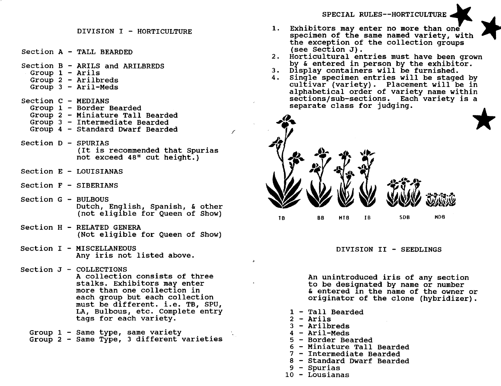SPECIAL RULES--HORTICULTURE

- DIVISION I HORTICULTURE
- section A TALL BEARDED
- Section B ARILS and ARILBREDS Group  $1 -$  Arils Group 2 - Arilbreds Group  $3 -$  Aril-Meds
- Section C MEDIANS Group 1 - Border Bearded Group 2 - Miniature Tall Bearded Group 3 - Intermediate Bearded Group 4 - Standard Dwarf Bearded
- Section D SPURIAS (It is recommended that Spurias not exceed 48" cut height.)
- $Section E LOUISTANAS$
- section F SIBERIANS
- $Section G BULBOUS$ Dutch, En9lish, Spanish, & other (not elig1ble for Queen of Show)
- section H RELATED GENERA (Not eligible for Queen of Show)
- Section I MISCELLANEOUS Any iris not listed above.
- section J COLLECTIONS A collection consists of three stalks. Exhibitors may enter more than one collection in each group but each collection must be different. *i.e.* TB, SPU, LA, Bulbous, etc. Complete entry tags for each variety.
	- Group  $1$  Same type, same variety<br>Group  $2$  Same Type, 3 different varieties
- 1. Exhibitors may enter no more than one specimen of the same named variety, with the exception of the collection groups (see section J).
- 2. Horticultural entries must have been grown by & entered in person by the exhibitor.
- 3. D1splay containers will be furnished.
- 4. Single specimen entries will be staged by  $\text{cultivar}$  (variety). Placement will be in alphabetical order of variety name within sections/sub-sections. Each variety is a separate class for judging.



# DIVISION II - SEEDLINGS

An unintroduced iris of any section to be designated by name  $o\dot{r}$  number & entered 1n the name of the owner or originator of the clone (hybridizer).

- 1 Tall Bearded
- $2 -$  Arils

 $\mathbf{r}$ 

- 3 Arilbreds
- 4 Aril-Meds
- 5 Border Bearded
- 6 Miniature Tall Bearded
- 7 Intermediate Bearded
- 8 Standard Dwarf Bearded
- 9 Spurias
- 10 Lousianas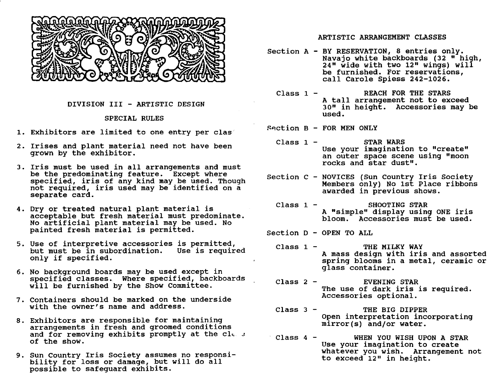

# DIVISION III - ARTISTIC DESIGN

# SPECIAL RULES

- 1. Exhibitors are limited to one entry per clas
- 2. Irises and plant material need not have been grown by the exhibitor.
- 3. Iris must be used in all arrangements and must be the predominating feature. Except where specified, iris of any kind may be used. Though not required, iris used may be identified on a separate card.
- 4. Dry or treated natural plant material is acceptable but fresh material must predominate. No artificial plant material may be used. No painted fresh material is permitted.
- 5. Use of interpretive accessories is permitted,<br>but must be in subordination. Use is required<br>only if specified.
- 6. No background boards may be used except in specified classes. Where specified, backboards will be furnished by the Show Committee.
- 7. containers should be marked on the underside with the owner's name and address.
- 8. Exhibitors are responsible for maintaining arrangements in fresh and groomed conditions and for removing exhibits promptly at the cle  $\pm$ of the show.
- 9. Sun Country Iris Society assumes no responsi-<br>bility for loss or damage, but will do all possible to safeguard exh1b1tS.

# ARTISTIC ARRANGEMENT CLASSES

- Section A BY RESERVATION, 8 entries only. Navajo white backboards (32 " high, 24" wide with two 12" wings) will be furnished. For reservations, call Carole Spiess 242-1026.
	- Class 1 REACH FOR THE STARS A tall arrangement not to exceed 3D" in height. Accessories may be used.

 $Section B - FOR MEN ONLY$ 

- Class 1 STAR WARS Use your imagination to "create" an outer space scene using "moon rocks and star dust".
- section C NOVICES (Sun country Iris Society Members only) No 1st Place ribbons awarded in previous shows.
	- Class 1 SHOOTING STAR A "simple" display using ONE iris bloom. Accessories must be used.
- section D OPEN TO ALL
	- $Class 1 -$  THE MILKY WAY A mass design with iris and assorted spring blooms in a metal, ceramic or glass container.
	- Class 2 EVENING STAR The use of dark iris is required. Accessories optional.
	- Class 3 THE BIG DIPPER Open interpretation incorporating mirror(s) and/or water.
	- Class 4 WHEN YOU WISH UPON A STAR Use your imagination to create whatever you wish. Arrangement not to exceed 12" in height.